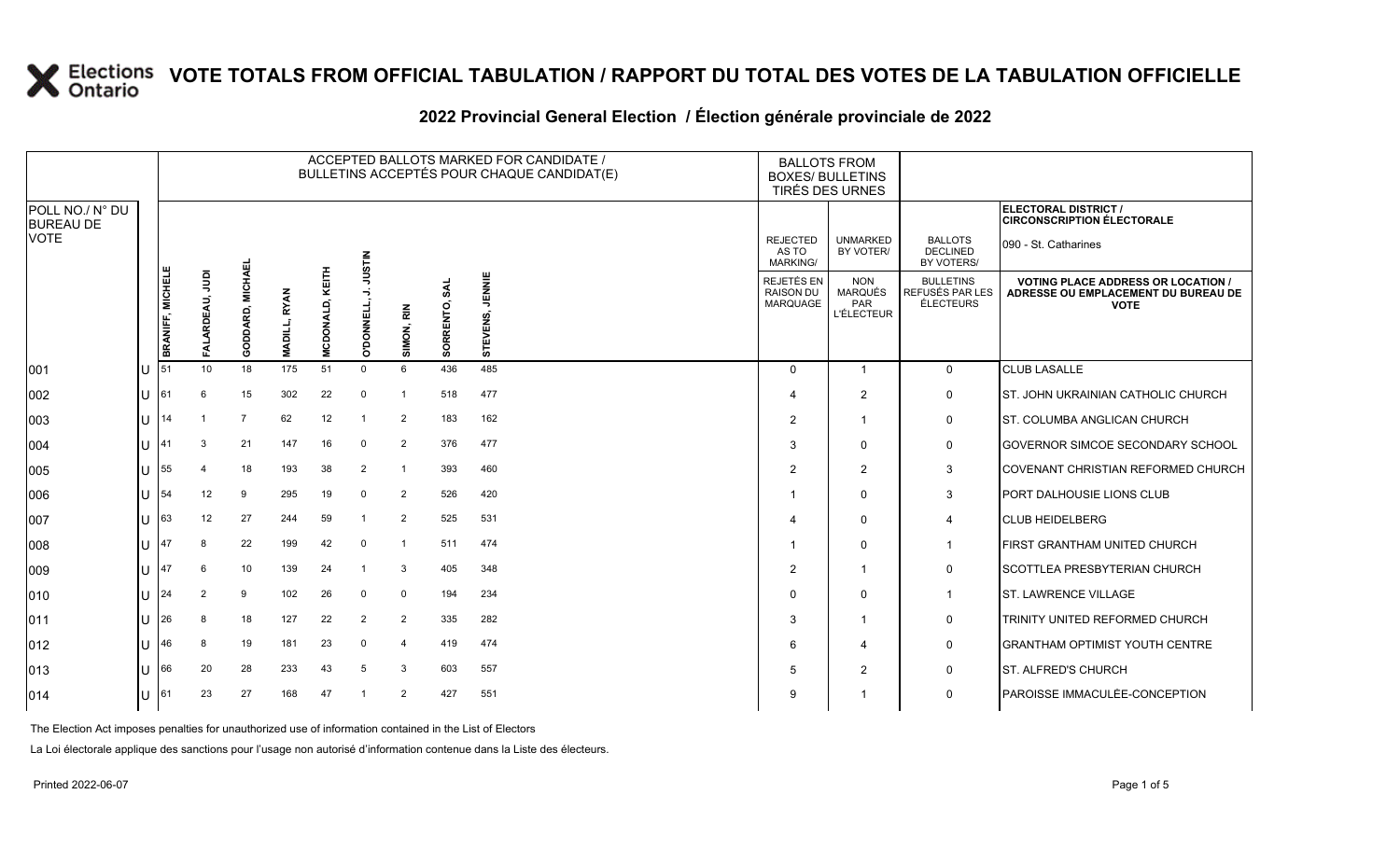### **2022 Provincial General Election / Élection générale provinciale de 2022**

|                                     |   |                  |                 |                  |                     |                        |                         |                |                  | ACCEPTED BALLOTS MARKED FOR CANDIDATE /<br>BULLETINS ACCEPTÉS POUR CHAQUE CANDIDAT(E) | <b>BALLOTS FROM</b><br><b>BOXES/ BULLETINS</b>    | TIRÉS DES URNES                                          |                                                  |                                                                                                 |
|-------------------------------------|---|------------------|-----------------|------------------|---------------------|------------------------|-------------------------|----------------|------------------|---------------------------------------------------------------------------------------|---------------------------------------------------|----------------------------------------------------------|--------------------------------------------------|-------------------------------------------------------------------------------------------------|
| POLL NO./ N° DU<br><b>BUREAU DE</b> |   |                  |                 |                  |                     |                        |                         |                |                  |                                                                                       |                                                   |                                                          |                                                  | ELECTORAL DISTRICT /<br><b>CIRCONSCRIPTION ÉLECTORALE</b>                                       |
| <b>VOTE</b>                         |   |                  |                 |                  |                     |                        | <b>STIN</b>             |                |                  |                                                                                       | <b>REJECTED</b><br>AS TO<br>MARKING/              | <b>UNMARKED</b><br>BY VOTER/                             | <b>BALLOTS</b><br><b>DECLINED</b><br>BY VOTERS/  | 090 - St. Catharines                                                                            |
|                                     |   | BRANIFF, MICHELE | ğ<br>RDEAU,     | GODDARD, MICHAEL | <b>MADILL, RYAN</b> | <b>MCDONALD, KEITH</b> | ⋚<br>⊸<br><b>DONNEL</b> | SIMON, RIN     | SAL<br>SORRENTO, | JENNIE<br>ທົ<br><b>STEVENS</b>                                                        | <b>REJETÉS EN</b><br><b>RAISON DU</b><br>MARQUAGE | <b>NON</b><br><b>MARQUÉS</b><br>PAR<br><b>L'ÉLECTEUR</b> | <b>BULLETINS</b><br>REFUSÉS PAR LES<br>ÉLECTEURS | <b>VOTING PLACE ADDRESS OR LOCATION /</b><br>ADRESSE OU EMPLACEMENT DU BUREAU DE<br><b>VOTE</b> |
| 001                                 |   | 51               | 10 <sup>1</sup> | 18               | 175                 | 51                     | $\mathbf 0$             | 6              | 436              | 485                                                                                   | $\Omega$                                          | $\overline{1}$                                           | $\mathbf 0$                                      | <b>CLUB LASALLE</b>                                                                             |
| 002                                 | U | 161              | 6               | 15               | 302                 | 22                     | $\mathbf 0$             | $\overline{1}$ | 518              | 477                                                                                   |                                                   | $\overline{2}$                                           | 0                                                | ST. JOHN UKRAINIAN CATHOLIC CHURCH                                                              |
| 003                                 | U | 14               |                 |                  | 62                  | 12                     |                         | $\overline{2}$ | 183              | 162                                                                                   | 2                                                 | $\overline{1}$                                           | 0                                                | <b>ST. COLUMBA ANGLICAN CHURCH</b>                                                              |
| 004                                 |   | <b>41</b>        | 3               | 21               | 147                 | 16                     | $\mathbf 0$             | $\overline{2}$ | 376              | 477                                                                                   | 3                                                 | $\mathbf 0$                                              | 0                                                | <b>GOVERNOR SIMCOE SECONDARY SCHOOL</b>                                                         |
| 005                                 |   | 55               | Δ               | 18               | 193                 | 38                     | $\overline{2}$          | $\overline{1}$ | 393              | 460                                                                                   | 2                                                 | 2                                                        | 3                                                | COVENANT CHRISTIAN REFORMED CHURCH                                                              |
| 006                                 |   |                  | 12              | 9                | 295                 | 19                     | $\mathbf 0$             | $\overline{2}$ | 526              | 420                                                                                   |                                                   | $\mathbf 0$                                              | $\mathbf{3}$                                     | <b>PORT DALHOUSIE LIONS CLUB</b>                                                                |
| 007                                 |   | 63               | 12              | 27               | 244                 | 59                     |                         | $\overline{2}$ | 525              | 531                                                                                   |                                                   | $\mathbf 0$                                              | 4                                                | <b>CLUB HEIDELBERG</b>                                                                          |
| 008                                 |   |                  | 8               | 22               | 199                 | 42                     | $\mathbf 0$             | $\overline{1}$ | 511              | 474                                                                                   |                                                   | $\Omega$                                                 | $\overline{1}$                                   | FIRST GRANTHAM UNITED CHURCH                                                                    |
| 009                                 |   |                  | 6               | 10               | 139                 | 24                     |                         | 3              | 405              | 348                                                                                   | 2                                                 | $\overline{1}$                                           | 0                                                | <b>SCOTTLEA PRESBYTERIAN CHURCH</b>                                                             |
| 010                                 |   | 24               | 2               | 9                | 102                 | 26                     | $\mathbf 0$             | $\mathbf 0$    | 194              | 234                                                                                   |                                                   | $\mathbf 0$                                              | $\overline{1}$                                   | <b>ST. LAWRENCE VILLAGE</b>                                                                     |
| 011                                 |   | 26               | 8               | 18               | 127                 | 22                     | $\overline{2}$          | $\overline{2}$ | 335              | 282                                                                                   | 3                                                 | -1                                                       | 0                                                | TRINITY UNITED REFORMED CHURCH                                                                  |
| 012                                 |   | 46               | 8               | 19               | 181                 | 23                     | $\mathbf 0$             | $\overline{4}$ | 419              | 474                                                                                   | 6                                                 | $\overline{\mathbf{4}}$                                  | 0                                                | <b>IGRANTHAM OPTIMIST YOUTH CENTRE</b>                                                          |
| 013                                 |   | 66               | 20              | 28               | 233                 | 43                     | 5                       | 3              | 603              | 557                                                                                   | .5                                                | $\overline{2}$                                           | 0                                                | ST. ALFRED'S CHURCH                                                                             |
| 014                                 |   | 161              | 23              | 27               | 168                 | 47                     |                         | $\overline{2}$ | 427              | 551                                                                                   | 9                                                 |                                                          | $\mathbf 0$                                      | PAROISSE IMMACULÉE-CONCEPTION                                                                   |

The Election Act imposes penalties for unauthorized use of information contained in the List of Electors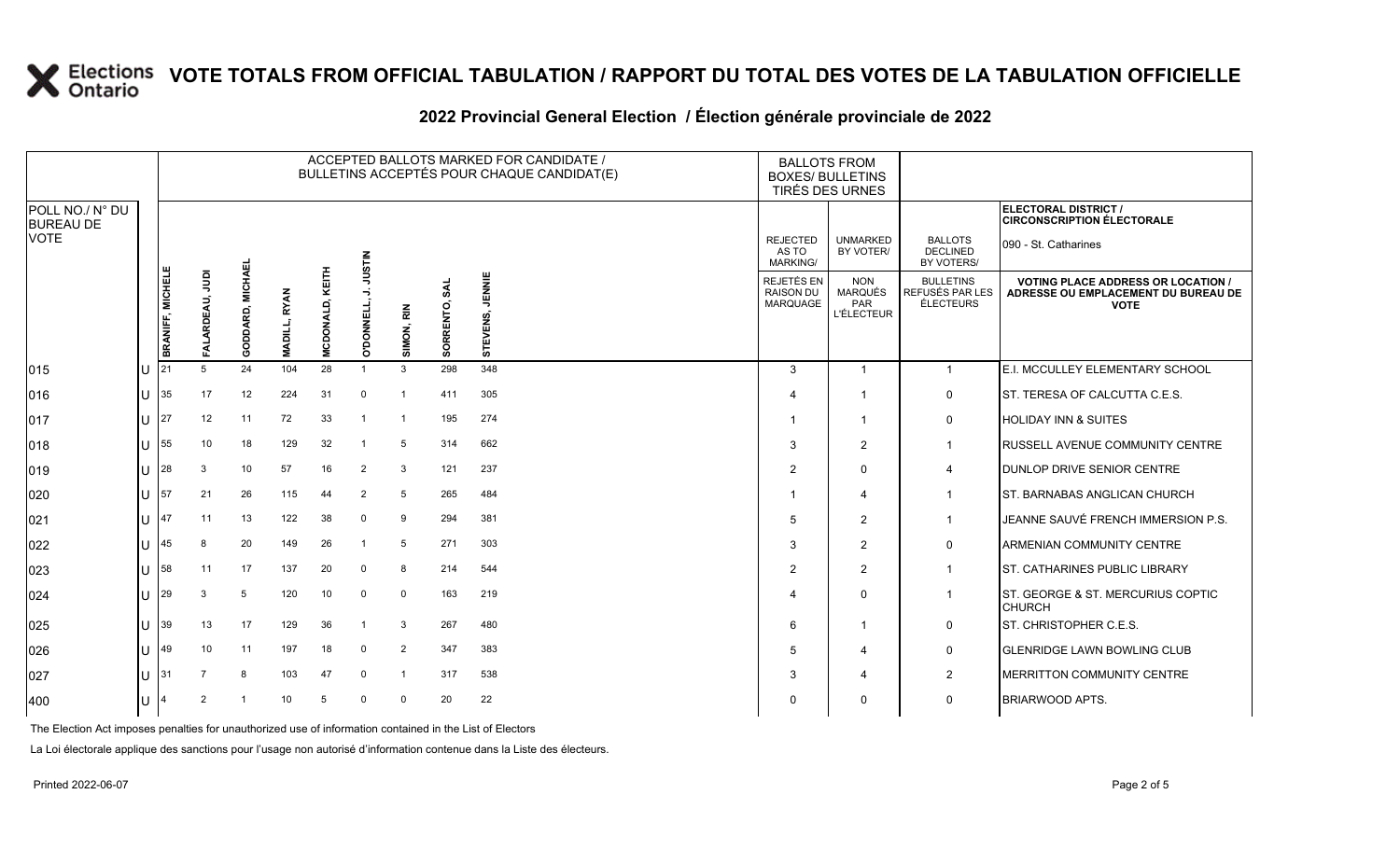### **2022 Provincial General Election / Élection générale provinciale de 2022**

|                                     |    | ACCEPTED BALLOTS MARKED FOR CANDIDATE /<br>BULLETINS ACCEPTÉS POUR CHAQUE CANDIDAT(E) |                        |                  |                     |                            |                |                |                         |                         |  | <b>BALLOTS FROM</b><br><b>BOXES/ BULLETINS</b> | TIRÉS DES URNES                                          |                                                         |                                                                                                 |
|-------------------------------------|----|---------------------------------------------------------------------------------------|------------------------|------------------|---------------------|----------------------------|----------------|----------------|-------------------------|-------------------------|--|------------------------------------------------|----------------------------------------------------------|---------------------------------------------------------|-------------------------------------------------------------------------------------------------|
| POLL NO./ N° DU<br><b>BUREAU DE</b> |    |                                                                                       |                        |                  |                     |                            |                |                |                         |                         |  |                                                |                                                          |                                                         | ELECTORAL DISTRICT /<br><b>CIRCONSCRIPTION ÉLECTORALE</b>                                       |
| <b>VOTE</b>                         |    |                                                                                       |                        |                  |                     |                            | <b>NILSIN</b>  |                |                         |                         |  | <b>REJECTED</b><br>AS TO<br><b>MARKING/</b>    | <b>UNMARKED</b><br>BY VOTER/                             | <b>BALLOTS</b><br><b>DECLINED</b><br>BY VOTERS/         | 090 - St. Catharines                                                                            |
|                                     |    | BRANIFF, MICHELE                                                                      | ğ<br>EAU,<br>ARDI<br>Ā | GODDARD, MICHAEL | <b>MADILL, RYAN</b> | D, KEITH<br><b>MCDONAL</b> | DONNELL,<br>ö  | SIMON, RIN     | <b>SAL</b><br>SORRENTO, | JENNIE<br>ENS,<br>STEVE |  | REJETÉS EN<br><b>RAISON DU</b><br>MARQUAGE     | <b>NON</b><br><b>MARQUÉS</b><br>PAR<br><b>L'ÉLECTEUR</b> | <b>BULLETINS</b><br>REFUSÉS PAR LES<br><b>ÉLECTEURS</b> | <b>VOTING PLACE ADDRESS OR LOCATION /</b><br>ADRESSE OU EMPLACEMENT DU BUREAU DE<br><b>VOTE</b> |
| 015                                 | IU | 21                                                                                    | 5                      | 24               | 104                 | 28                         | -1             | 3              | 298                     | 348                     |  | 3                                              | $\overline{1}$                                           | $\mathbf{1}$                                            | E.I. MCCULLEY ELEMENTARY SCHOOL                                                                 |
| 016                                 | lU | 35                                                                                    | 17                     | 12               | 224                 | 31                         | $\Omega$       | $\overline{1}$ | 411                     | 305                     |  |                                                | $\overline{1}$                                           | 0                                                       | ST. TERESA OF CALCUTTA C.E.S.                                                                   |
| 017                                 | lθ | 27                                                                                    | 12                     | 11               | 72                  | 33                         |                | -1             | 195                     | 274                     |  |                                                | $\overline{1}$                                           | 0                                                       | <b>HOLIDAY INN &amp; SUITES</b>                                                                 |
| 018                                 | Ш  | 55                                                                                    | 10                     | 18               | 129                 | 32                         |                | 5              | 314                     | 662                     |  | 3                                              | $\overline{2}$                                           | $\overline{1}$                                          | <b>RUSSELL AVENUE COMMUNITY CENTRE</b>                                                          |
| 019                                 | ΙU | 28                                                                                    | 3                      | 10               | 57                  | 16                         | $\overline{2}$ | 3              | 121                     | 237                     |  | $\overline{2}$                                 | $\mathbf 0$                                              | $\overline{4}$                                          | <b>DUNLOP DRIVE SENIOR CENTRE</b>                                                               |
| 020                                 | lu | 57                                                                                    | 21                     | 26               | 115                 | 44                         | $\overline{2}$ | 5              | 265                     | 484                     |  |                                                | $\overline{4}$                                           | $\mathbf{1}$                                            | ST. BARNABAS ANGLICAN CHURCH                                                                    |
| 021                                 | ΙU | 47                                                                                    | 11                     | 13               | 122                 | 38                         | $\Omega$       | 9              | 294                     | 381                     |  | 5                                              | $\overline{2}$                                           | $\mathbf{1}$                                            | JEANNE SAUVÉ FRENCH IMMERSION P.S.                                                              |
| 022                                 | ΠT | 45                                                                                    | 8                      | 20               | 149                 | 26                         |                | 5              | 271                     | 303                     |  | 3                                              | $\overline{2}$                                           | 0                                                       | <b>ARMENIAN COMMUNITY CENTRE</b>                                                                |
| 023                                 | IП | 58                                                                                    | 11                     | 17               | 137                 | 20                         | $\Omega$       | 8              | 214                     | 544                     |  | 2                                              | $\overline{2}$                                           | $\overline{1}$                                          | <b>ST. CATHARINES PUBLIC LIBRARY</b>                                                            |
| 024                                 | IП | 29                                                                                    | 3                      | 5                | 120                 | 10                         | 0              | 0              | 163                     | 219                     |  |                                                | $\Omega$                                                 | $\mathbf{1}$                                            | ST. GEORGE & ST. MERCURIUS COPTIC<br><b>CHURCH</b>                                              |
| 025                                 | ΙU | 39                                                                                    | 13                     | 17               | 129                 | 36                         | $\overline{1}$ | 3              | 267                     | 480                     |  | 6                                              | $\overline{1}$                                           | 0                                                       | ST. CHRISTOPHER C.E.S.                                                                          |
| 026                                 | lu | 49                                                                                    | 10                     | 11               | 197                 | 18                         | $\mathbf 0$    | 2              | 347                     | 383                     |  | 5                                              | $\boldsymbol{\Delta}$                                    | 0                                                       | <b>GLENRIDGE LAWN BOWLING CLUB</b>                                                              |
| 027                                 | lθ | 31                                                                                    |                        | 8                | 103                 | 47                         | $\Omega$       | $\overline{1}$ | 317                     | 538                     |  | 3                                              | $\overline{4}$                                           | 2                                                       | MERRITTON COMMUNITY CENTRE                                                                      |
| 400                                 | IП | 4                                                                                     | $\overline{2}$         |                  | 10                  | 5                          | $\Omega$       | $\Omega$       | 20                      | 22                      |  | $\Omega$                                       | $\mathbf 0$                                              | 0                                                       | <b>BRIARWOOD APTS.</b>                                                                          |

The Election Act imposes penalties for unauthorized use of information contained in the List of Electors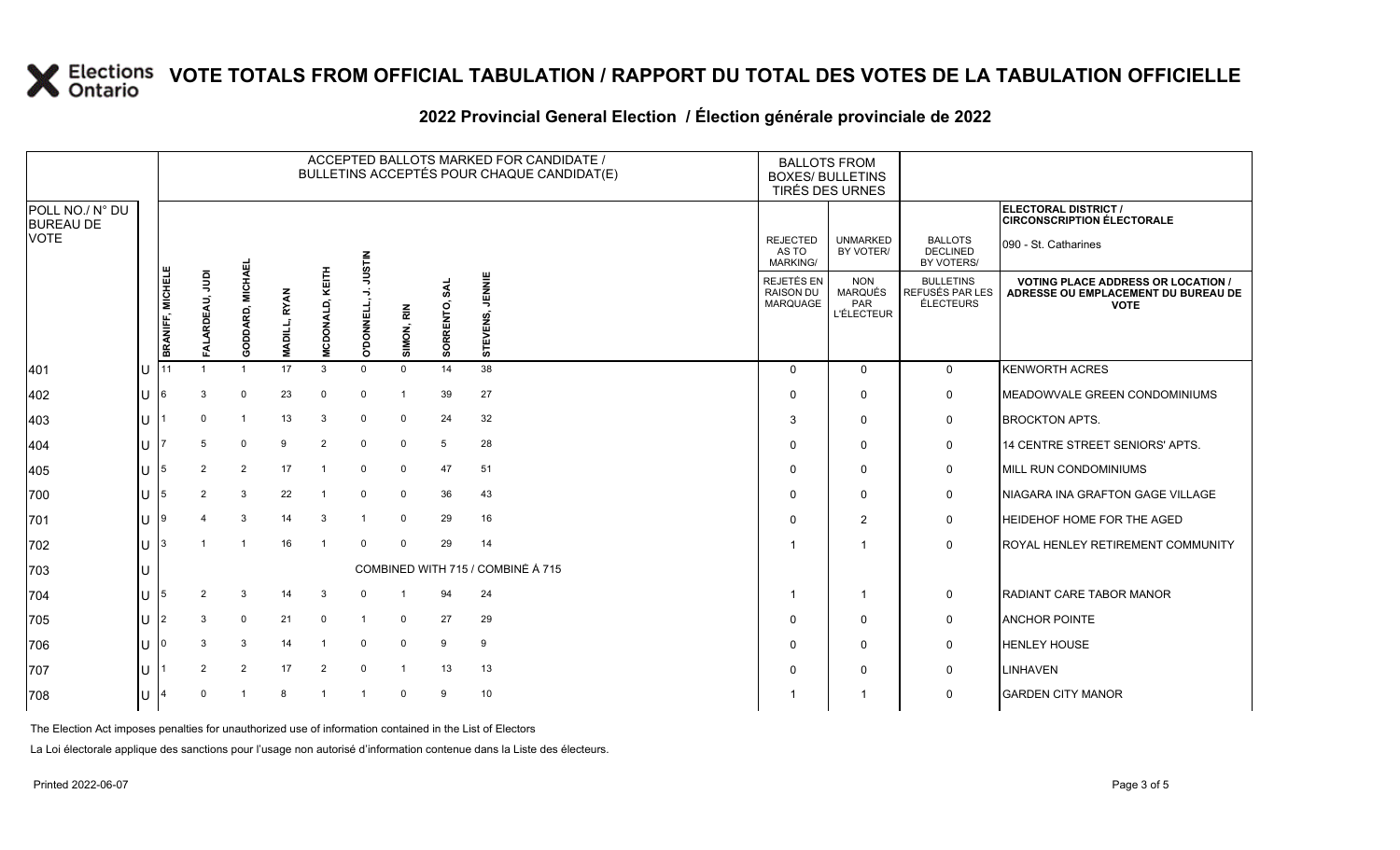### **2022 Provincial General Election / Élection générale provinciale de 2022**

|                                     |   | ACCEPTED BALLOTS MARKED FOR CANDIDATE /<br>BULLETINS ACCEPTÉS POUR CHAQUE CANDIDAT(E) |                |                  |                     |                        |                   |                |                  |                                   |  |                                             | <b>BALLOTS FROM</b><br><b>BOXES/ BULLETINS</b><br>TIRÉS DES URNES |                                                  |                                                                                                 |
|-------------------------------------|---|---------------------------------------------------------------------------------------|----------------|------------------|---------------------|------------------------|-------------------|----------------|------------------|-----------------------------------|--|---------------------------------------------|-------------------------------------------------------------------|--------------------------------------------------|-------------------------------------------------------------------------------------------------|
| POLL NO./ N° DU<br><b>BUREAU DE</b> |   |                                                                                       |                |                  |                     |                        |                   |                |                  |                                   |  |                                             |                                                                   |                                                  | ELECTORAL DISTRICT /<br><b>CIRCONSCRIPTION ÉLECTORALE</b>                                       |
| <b>VOTE</b>                         |   |                                                                                       |                |                  |                     |                        | <b>NILSIN</b>     |                |                  |                                   |  | <b>REJECTED</b><br>AS TO<br><b>MARKING/</b> | <b>UNMARKED</b><br>BY VOTER/                                      | <b>BALLOTS</b><br><b>DECLINED</b><br>BY VOTERS/  | 090 - St. Catharines                                                                            |
|                                     |   | <b>BRANIFF, MICHELE</b>                                                               | ğ<br>ARDEAU,   | GODDARD, MICHAEI | <b>MADILL, RYAN</b> | <b>MCDONALD, KEITH</b> | <b>O'DONNELL,</b> | SIMON, RIN     | SAL<br>SORRENTO, | JENNIE<br>ທົ<br><b>STEVENS</b>    |  | REJETÉS EN<br><b>RAISON DU</b><br>MARQUAGE  | <b>NON</b><br><b>MARQUÉS</b><br>PAR<br><b>L'ÉLECTEUR</b>          | <b>BULLETINS</b><br>REFUSÉS PAR LES<br>ÉLECTEURS | <b>VOTING PLACE ADDRESS OR LOCATION /</b><br>ADRESSE OU EMPLACEMENT DU BUREAU DE<br><b>VOTE</b> |
| 401                                 |   |                                                                                       |                |                  | 17                  | 3                      | $\mathbf 0$       | $\mathbf 0$    | 14               | 38                                |  | $\Omega$                                    | $\Omega$                                                          | $\mathbf 0$                                      | <b>KENWORTH ACRES</b>                                                                           |
| 402                                 | U | 16                                                                                    | 3              | $\mathbf 0$      | 23                  | $\mathbf 0$            | $\mathbf 0$       | $\overline{1}$ | 39               | 27                                |  | <sup>0</sup>                                | $\mathbf 0$                                                       | 0                                                | MEADOWVALE GREEN CONDOMINIUMS                                                                   |
| 403                                 |   |                                                                                       | <sup>0</sup>   |                  | 13                  | 3                      | $\Omega$          | $\mathbf 0$    | 24               | 32                                |  | 3                                           | $\mathbf 0$                                                       | 0                                                | <b>BROCKTON APTS.</b>                                                                           |
| 404                                 |   |                                                                                       | 5              | $\mathbf 0$      | 9                   | $\overline{2}$         | $\mathbf 0$       | $\mathbf 0$    | 5                | 28                                |  | $\Omega$                                    | $\mathbf 0$                                                       | 0                                                | 14 CENTRE STREET SENIORS' APTS.                                                                 |
| 405                                 |   |                                                                                       | 2              | 2                | 17                  | $\overline{1}$         | $\mathbf 0$       | $\mathbf 0$    | 47               | 51                                |  | $\Omega$                                    | $\mathbf 0$                                                       | 0                                                | MILL RUN CONDOMINIUMS                                                                           |
| 700                                 |   |                                                                                       | 2              | 3                | 22                  |                        | $\mathbf 0$       | $\mathbf 0$    | 36               | 43                                |  | $\Omega$                                    | $\mathbf 0$                                                       | $\mathbf 0$                                      | <b>INIAGARA INA GRAFTON GAGE VILLAGE</b>                                                        |
| 701                                 |   | 19                                                                                    | 4              | $\mathbf{3}$     | 14                  | 3                      |                   | $\mathbf 0$    | 29               | 16                                |  |                                             | 2                                                                 | 0                                                | <b>HEIDEHOF HOME FOR THE AGED</b>                                                               |
| 702                                 | Ū |                                                                                       |                |                  | 16                  | $\overline{1}$         | $\mathbf 0$       | $\mathbf 0$    | 29               | 14                                |  |                                             |                                                                   | $\mathbf 0$                                      | ROYAL HENLEY RETIREMENT COMMUNITY                                                               |
| 703                                 |   |                                                                                       |                |                  |                     |                        |                   |                |                  | COMBINED WITH 715 / COMBINÉ À 715 |  |                                             |                                                                   |                                                  |                                                                                                 |
| 704                                 |   | 15                                                                                    | $\overline{2}$ | 3                | 14                  | 3                      | $\Omega$          |                | 94               | 24                                |  |                                             | $\mathbf 1$                                                       | 0                                                | <b>RADIANT CARE TABOR MANOR</b>                                                                 |
| 705                                 |   | 12                                                                                    | 3              | $\mathbf 0$      | 21                  | 0                      | $\overline{1}$    | $\mathbf 0$    | 27               | 29                                |  | $\Omega$                                    | $\mathbf 0$                                                       | 0                                                | <b>ANCHOR POINTE</b>                                                                            |
| 706                                 |   |                                                                                       | 3              | 3                | 14                  |                        | $\Omega$          | $\mathbf 0$    | 9                | 9                                 |  | $\Omega$                                    | $\mathbf 0$                                                       | 0                                                | <b>HENLEY HOUSE</b>                                                                             |
| 707                                 |   |                                                                                       | $\overline{2}$ | 2                | 17                  | $\overline{2}$         | $\mathbf 0$       | $\overline{1}$ | 13               | 13                                |  |                                             | $\mathbf 0$                                                       | 0                                                | <b>LINHAVEN</b>                                                                                 |
| 708                                 |   |                                                                                       | $\Omega$       |                  |                     |                        |                   | $\mathbf 0$    | 9                | 10                                |  |                                             | -1                                                                | $\mathbf 0$                                      | <b>GARDEN CITY MANOR</b>                                                                        |

The Election Act imposes penalties for unauthorized use of information contained in the List of Electors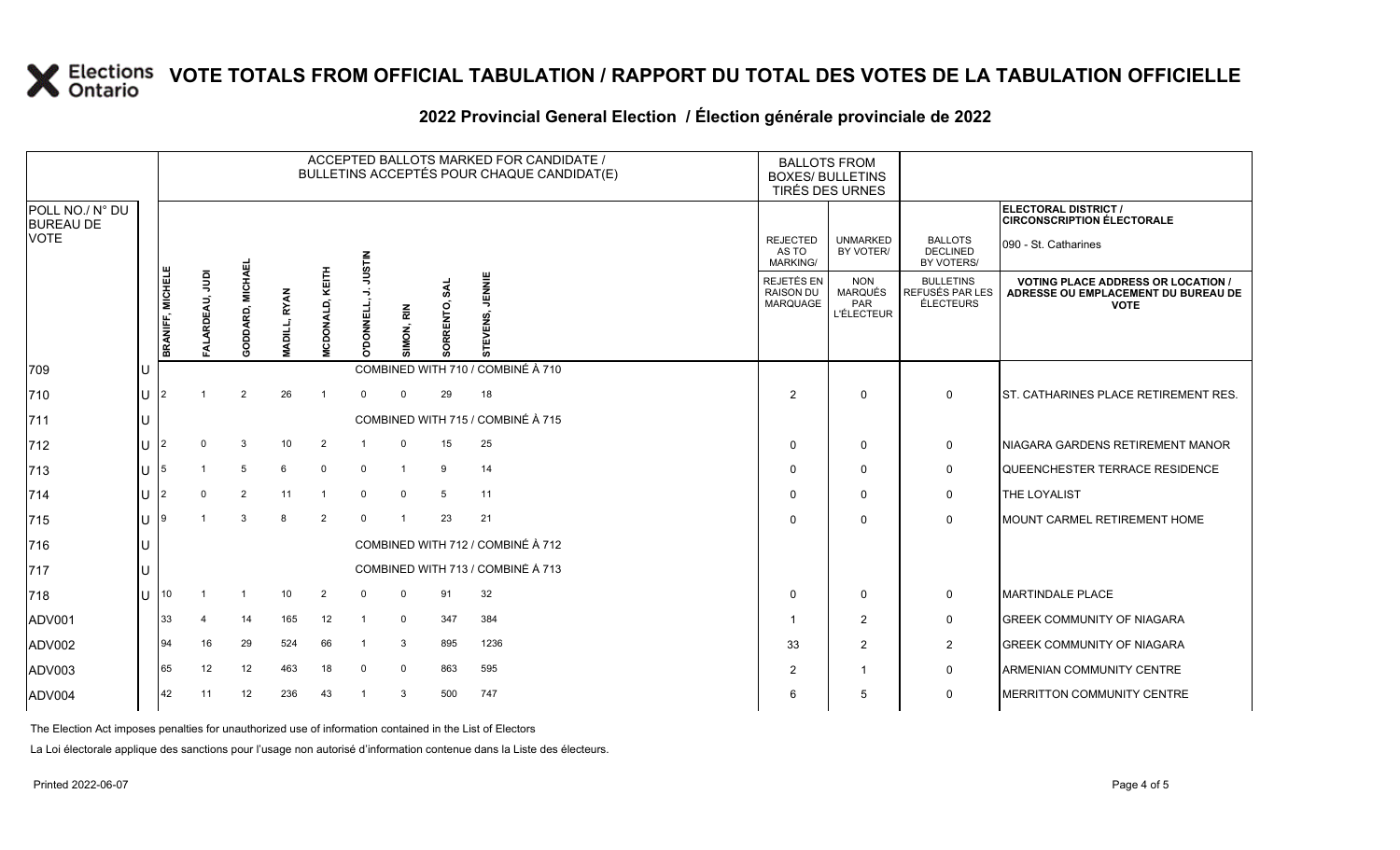### **2022 Provincial General Election / Élection générale provinciale de 2022**

|                                     | ACCEPTED BALLOTS MARKED FOR CANDIDATE /<br>BULLETINS ACCEPTÉS POUR CHAQUE CANDIDAT(E) |                      |                  |                     |                        |                     |                |                 |                                   |  |                                             | <b>BALLOTS FROM</b><br><b>BOXES/ BULLETINS</b><br>TIRÉS DES URNES |                                                         |                                                                                                 |
|-------------------------------------|---------------------------------------------------------------------------------------|----------------------|------------------|---------------------|------------------------|---------------------|----------------|-----------------|-----------------------------------|--|---------------------------------------------|-------------------------------------------------------------------|---------------------------------------------------------|-------------------------------------------------------------------------------------------------|
| POLL NO./ N° DU<br><b>BUREAU DE</b> |                                                                                       |                      |                  |                     |                        |                     |                |                 |                                   |  |                                             |                                                                   |                                                         | ELECTORAL DISTRICT /<br><b>CIRCONSCRIPTION ÉLECTORALE</b>                                       |
| <b>VOTE</b>                         |                                                                                       |                      |                  |                     |                        | NILSIN              |                |                 |                                   |  | <b>REJECTED</b><br>AS TO<br><b>MARKING/</b> | <b>UNMARKED</b><br>BY VOTER/                                      | <b>BALLOTS</b><br><b>DECLINED</b><br>BY VOTERS/         | 090 - St. Catharines                                                                            |
|                                     | <b>BRANIFF, MICHELE</b>                                                               | $\bar{e}$<br>ARDEAU, | GODDARD, MICHAEI | <b>MADILL, RYAN</b> | <b>MCDONALD, KEITH</b> | -5<br>DONNELL,<br>ō | IMON, RIN      | s٨<br>SORRENTO, | JENNIE<br>ã<br><b>STEV</b>        |  | REJETÉS EN<br><b>RAISON DU</b><br>MARQUAGE  | <b>NON</b><br>MARQUÉS<br>PAR<br><b>L'ÉLECTEUR</b>                 | <b>BULLETINS</b><br>REFUSÉS PAR LES<br><b>ÉLECTEURS</b> | <b>VOTING PLACE ADDRESS OR LOCATION /</b><br>ADRESSE OU EMPLACEMENT DU BUREAU DE<br><b>VOTE</b> |
| 709                                 |                                                                                       |                      |                  |                     |                        |                     |                |                 | COMBINED WITH 710 / COMBINÉ À 710 |  |                                             |                                                                   |                                                         |                                                                                                 |
| 710                                 |                                                                                       |                      | 2                | 26                  | $\mathbf{1}$           | $\Omega$            | $\Omega$       | 29              | 18                                |  | 2                                           | $\mathbf 0$                                                       | $\mathbf{0}$                                            | <b>ST. CATHARINES PLACE RETIREMENT RES.</b>                                                     |
| 711                                 |                                                                                       |                      |                  |                     |                        |                     |                |                 | COMBINED WITH 715 / COMBINÉ À 715 |  |                                             |                                                                   |                                                         |                                                                                                 |
| $ 712$                              |                                                                                       | 0                    | 3                | 10                  | 2                      |                     | $\mathbf 0$    | 15              | 25                                |  | $\Omega$                                    | 0                                                                 | $\mathbf 0$                                             | NIAGARA GARDENS RETIREMENT MANOR                                                                |
| 713                                 |                                                                                       |                      | 5                | 6                   | $\mathbf 0$            | $\mathbf 0$         | $\overline{1}$ | 9               | 14                                |  | $\Omega$                                    | $\mathbf 0$                                                       | $\mathsf{O}$                                            | QUEENCHESTER TERRACE RESIDENCE                                                                  |
| 714                                 |                                                                                       | 0                    | 2                | 11                  |                        | $\Omega$            | $\mathbf 0$    | 5               | 11                                |  | $\Omega$                                    | $\mathbf 0$                                                       | $\mathsf{O}$                                            | <b>THE LOYALIST</b>                                                                             |
| 715                                 |                                                                                       |                      | 3                | 8                   | 2                      | $\Omega$            | $\overline{1}$ | 23              | 21                                |  | $\Omega$                                    | $\mathbf{0}$                                                      | $\mathbf 0$                                             | <b>IMOUNT CARMEL RETIREMENT HOME</b>                                                            |
| 716                                 |                                                                                       |                      |                  |                     |                        |                     |                |                 | COMBINED WITH 712 / COMBINÉ À 712 |  |                                             |                                                                   |                                                         |                                                                                                 |
| 717                                 |                                                                                       |                      |                  |                     |                        |                     |                |                 | COMBINED WITH 713 / COMBINÉ À 713 |  |                                             |                                                                   |                                                         |                                                                                                 |
| 718                                 | 10                                                                                    |                      | $\mathbf{1}$     | 10                  | 2                      | $\Omega$            | $\mathbf{0}$   | 91              | 32                                |  | $\Omega$                                    | $\mathbf 0$                                                       | $\mathbf 0$                                             | <b>MARTINDALE PLACE</b>                                                                         |
| ADV001                              | 33                                                                                    | 4                    | 14               | 165                 | 12                     | -1                  | $\mathbf 0$    | 347             | 384                               |  |                                             | $\overline{2}$                                                    | $\mathsf{O}$                                            | <b>GREEK COMMUNITY OF NIAGARA</b>                                                               |
| ADV002                              | 94                                                                                    | 16                   | 29               | 524                 | 66                     |                     | 3              | 895             | 1236                              |  | 33                                          | $\overline{2}$                                                    | $\overline{2}$                                          | <b>GREEK COMMUNITY OF NIAGARA</b>                                                               |
| ADV003                              | 65                                                                                    | 12                   | 12               | 463                 | 18                     | 0                   | $\mathbf 0$    | 863             | 595                               |  | 2                                           | 1                                                                 | $\mathsf{O}$                                            | <b>ARMENIAN COMMUNITY CENTRE</b>                                                                |
| ADV004                              | 42                                                                                    | 11                   | 12               | 236                 | 43                     | -1                  | 3              | 500             | 747                               |  | 6                                           | 5                                                                 | $\mathbf 0$                                             | <b>MERRITTON COMMUNITY CENTRE</b>                                                               |

The Election Act imposes penalties for unauthorized use of information contained in the List of Electors